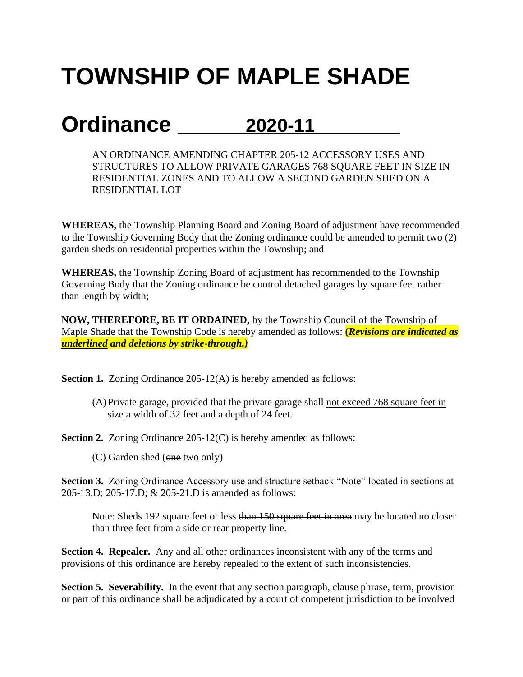## **TOWNSHIP OF MAPLE SHADE**

## **Ordinance 2020-11**

AN ORDINANCE AMENDING CHAPTER 205-12 ACCESSORY USES AND STRUCTURES TO ALLOW PRIVATE GARAGES 768 SQUARE FEET IN SIZE IN RESIDENTIAL ZONES AND TO ALLOW A SECOND GARDEN SHED ON A RESIDENTIAL LOT

**WHEREAS,** the Township Planning Board and Zoning Board of adjustment have recommended to the Township Governing Body that the Zoning ordinance could be amended to permit two (2) garden sheds on residential properties within the Township; and

**WHEREAS,** the Township Zoning Board of adjustment has recommended to the Township Governing Body that the Zoning ordinance be control detached garages by square feet rather than length by width;

**NOW, THEREFORE, BE IT ORDAINED,** by the Township Council of the Township of Maple Shade that the Township Code is hereby amended as follows: **(***Revisions are indicated as underlined and deletions by strike-through.)*

**Section 1.** Zoning Ordinance 205-12(A) is hereby amended as follows:

(A)Private garage, provided that the private garage shall not exceed 768 square feet in size a width of 32 feet and a depth of 24 feet.

**Section 2.** Zoning Ordinance 205-12(C) is hereby amended as follows:

(C) Garden shed (one two only)

**Section 3.** Zoning Ordinance Accessory use and structure setback "Note" located in sections at 205-13.D; 205-17.D; & 205-21.D is amended as follows:

Note: Sheds 192 square feet or less than 150 square feet in area may be located no closer than three feet from a side or rear property line.

**Section 4. Repealer.** Any and all other ordinances inconsistent with any of the terms and provisions of this ordinance are hereby repealed to the extent of such inconsistencies.

**Section 5. Severability.** In the event that any section paragraph, clause phrase, term, provision or part of this ordinance shall be adjudicated by a court of competent jurisdiction to be involved